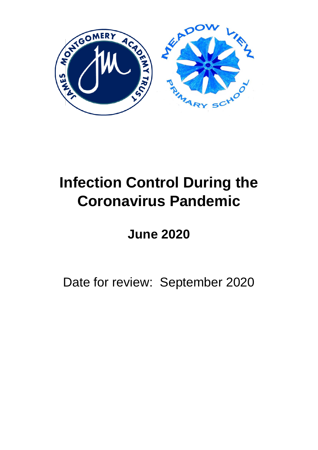

# **Infection Control During the Coronavirus Pandemic**

# **June 2020**

Date for review: September 2020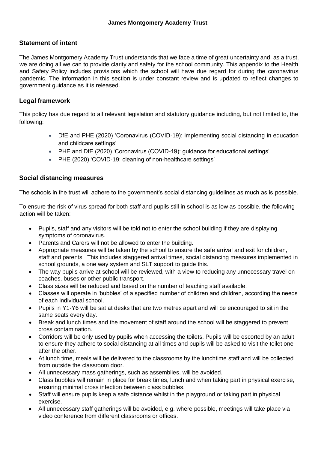### **Statement of intent**

The James Montgomery Academy Trust understands that we face a time of great uncertainty and, as a trust, we are doing all we can to provide clarity and safety for the school community. This appendix to the Health and Safety Policy includes provisions which the school will have due regard for during the coronavirus pandemic. The information in this section is under constant review and is updated to reflect changes to government guidance as it is released.

### **Legal framework**

This policy has due regard to all relevant legislation and statutory guidance including, but not limited to, the following:

- DfE and PHE (2020) 'Coronavirus (COVID-19): implementing social distancing in education and childcare settings'
- PHE and DfE (2020) 'Coronavirus (COVID-19): guidance for educational settings'
- PHE (2020) 'COVID-19: cleaning of non-healthcare settings'

### **Social distancing measures**

The schools in the trust will adhere to the government's social distancing guidelines as much as is possible.

To ensure the risk of virus spread for both staff and pupils still in school is as low as possible, the following action will be taken:

- Pupils, staff and any visitors will be told not to enter the school building if they are displaying symptoms of coronavirus.
- Parents and Carers will not be allowed to enter the building.
- Appropriate measures will be taken by the school to ensure the safe arrival and exit for children, staff and parents. This includes staggered arrival times, social distancing measures implemented in school grounds, a one way system and SLT support to guide this.
- The way pupils arrive at school will be reviewed, with a view to reducing any unnecessary travel on coaches, buses or other public transport.
- Class sizes will be reduced and based on the number of teaching staff available.
- Classes will operate in 'bubbles' of a specified number of children and children, according the needs of each individual school.
- Pupils in Y1-Y6 will be sat at desks that are two metres apart and will be encouraged to sit in the same seats every day.
- Break and lunch times and the movement of staff around the school will be staggered to prevent cross contamination.
- Corridors will be only used by pupils when accessing the toilets. Pupils will be escorted by an adult to ensure they adhere to social distancing at all times and pupils will be asked to visit the toilet one after the other.
- At lunch time, meals will be delivered to the classrooms by the lunchtime staff and will be collected from outside the classroom door.
- All unnecessary mass gatherings, such as assemblies, will be avoided.
- Class bubbles will remain in place for break times, lunch and when taking part in physical exercise, ensuring minimal cross infection between class bubbles.
- Staff will ensure pupils keep a safe distance whilst in the playground or taking part in physical exercise.
- All unnecessary staff gatherings will be avoided, e.g. where possible, meetings will take place via video conference from different classrooms or offices.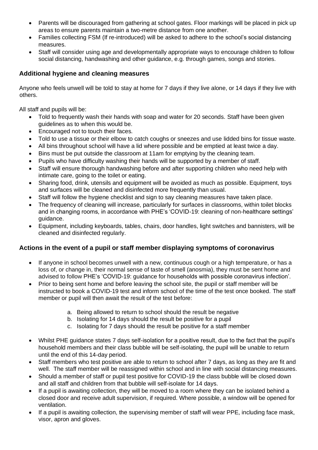- Parents will be discouraged from gathering at school gates. Floor markings will be placed in pick up areas to ensure parents maintain a two-metre distance from one another.
- Families collecting FSM (If re-introduced) will be asked to adhere to the school's social distancing measures.
- Staff will consider using age and developmentally appropriate ways to encourage children to follow social distancing, handwashing and other guidance, e.g. through games, songs and stories.

# **Additional hygiene and cleaning measures**

Anyone who feels unwell will be told to stay at home for 7 days if they live alone, or 14 days if they live with others.

All staff and pupils will be:

- Told to frequently wash their hands with soap and water for 20 seconds. Staff have been given guidelines as to when this would be.
- Encouraged not to touch their faces.
- Told to use a tissue or their elbow to catch coughs or sneezes and use lidded bins for tissue waste.
- All bins throughout school will have a lid where possible and be emptied at least twice a day.
- Bins must be put outside the classroom at 11am for emptying by the cleaning team.
- Pupils who have difficulty washing their hands will be supported by a member of staff.
- Staff will ensure thorough handwashing before and after supporting children who need help with intimate care, going to the toilet or eating.
- Sharing food, drink, utensils and equipment will be avoided as much as possible. Equipment, toys and surfaces will be cleaned and disinfected more frequently than usual.
- Staff will follow the hygiene checklist and sign to say cleaning measures have taken place.
- The frequency of cleaning will increase, particularly for surfaces in classrooms, within toilet blocks and in changing rooms, in accordance with PHE's 'COVID-19: cleaning of non-healthcare settings' guidance.
- Equipment, including keyboards, tables, chairs, door handles, light switches and bannisters, will be cleaned and disinfected regularly.

## **Actions in the event of a pupil or staff member displaying symptoms of coronavirus**

- If anyone in school becomes unwell with a new, continuous cough or a high temperature, or has a loss of, or change in, their normal sense of taste of smell (anosmia), they must be sent home and advised to follow PHE's 'COVID-19: guidance for households with possible coronavirus infection'.
- Prior to being sent home and before leaving the school site, the pupil or staff member will be instructed to book a COVID-19 test and inform school of the time of the test once booked. The staff member or pupil will then await the result of the test before:
	- a. Being allowed to return to school should the result be negative
	- b. Isolating for 14 days should the result be positive for a pupil
	- c. Isolating for 7 days should the result be positive for a staff member
- Whilst PHE guidance states 7 days self-isolation for a positive result, due to the fact that the pupil's household members and their class bubble will be self-isolating, the pupil will be unable to return until the end of this 14-day period.
- Staff members who test positive are able to return to school after 7 days, as long as they are fit and well. The staff member will be reassigned within school and in line with social distancing measures.
- Should a member of staff or pupil test positive for COVID-19 the class bubble will be closed down and all staff and children from that bubble will self-isolate for 14 days.
- If a pupil is awaiting collection, they will be moved to a room where they can be isolated behind a closed door and receive adult supervision, if required. Where possible, a window will be opened for ventilation.
- If a pupil is awaiting collection, the supervising member of staff will wear PPE, including face mask, visor, apron and gloves.